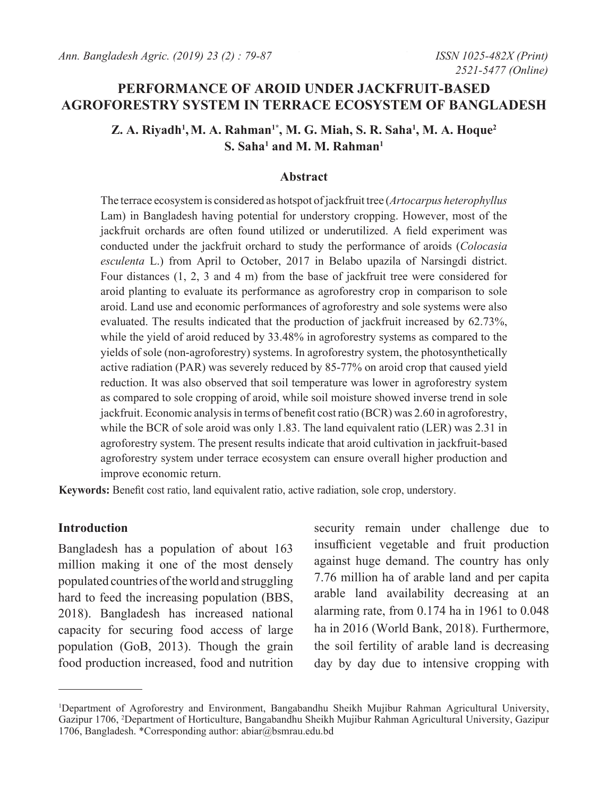# **PERFORMANCE OF AROID UNDER JACKFRUIT-BASED AGROFORESTRY SYSTEM IN TERRACE ECOSYSTEM OF BANGLADESH**

**Z. A. Riyadh1 ,M. A. Rahman1\*, M. G. Miah, S. R. Saha1 , M. A. Hoque2 S. Saha<sup>1</sup> and M. M. Rahman<sup>1</sup>** 

#### **Abstract**

The terrace ecosystem is considered as hotspot of jackfruit tree (*Artocarpus heterophyllus*  Lam) in Bangladesh having potential for understory cropping. However, most of the jackfruit orchards are often found utilized or underutilized. A field experiment was conducted under the jackfruit orchard to study the performance of aroids (*Colocasia esculenta* L.) from April to October, 2017 in Belabo upazila of Narsingdi district. Four distances (1, 2, 3 and 4 m) from the base of jackfruit tree were considered for aroid planting to evaluate its performance as agroforestry crop in comparison to sole aroid. Land use and economic performances of agroforestry and sole systems were also evaluated. The results indicated that the production of jackfruit increased by 62.73%, while the yield of aroid reduced by 33.48% in agroforestry systems as compared to the yields of sole (non-agroforestry) systems. In agroforestry system, the photosynthetically active radiation (PAR) was severely reduced by 85-77% on aroid crop that caused yield reduction. It was also observed that soil temperature was lower in agroforestry system as compared to sole cropping of aroid, while soil moisture showed inverse trend in sole jackfruit. Economic analysis in terms of benefit cost ratio (BCR) was 2.60 in agroforestry, while the BCR of sole aroid was only 1.83. The land equivalent ratio (LER) was 2.31 in agroforestry system. The present results indicate that aroid cultivation in jackfruit-based agroforestry system under terrace ecosystem can ensure overall higher production and improve economic return.

**Keywords:** Benefit cost ratio, land equivalent ratio, active radiation, sole crop, understory.

# **Introduction**

Bangladesh has a population of about 163 million making it one of the most densely populated countries of the world and struggling hard to feed the increasing population (BBS, 2018). Bangladesh has increased national capacity for securing food access of large population (GoB, 2013). Though the grain food production increased, food and nutrition

security remain under challenge due to insufficient vegetable and fruit production against huge demand. The country has only 7.76 million ha of arable land and per capita arable land availability decreasing at an alarming rate, from 0.174 ha in 1961 to 0.048 ha in 2016 (World Bank, 2018). Furthermore, the soil fertility of arable land is decreasing day by day due to intensive cropping with

<sup>1</sup> Department of Agroforestry and Environment, Bangabandhu Sheikh Mujibur Rahman Agricultural University, Gazipur 1706, 2 Department of Horticulture, Bangabandhu Sheikh Mujibur Rahman Agricultural University, Gazipur 1706, Bangladesh. \*Corresponding author: abiar@bsmrau.edu.bd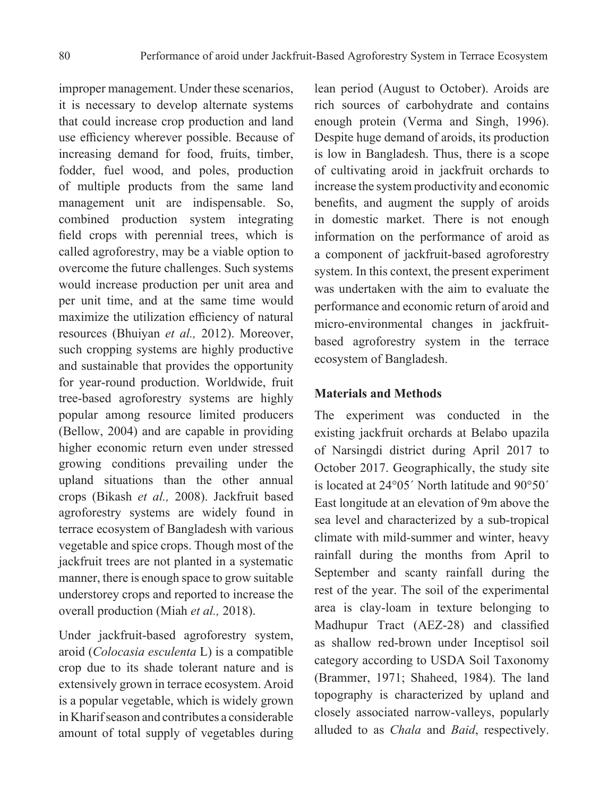improper management. Under these scenarios, it is necessary to develop alternate systems that could increase crop production and land use efficiency wherever possible. Because of increasing demand for food, fruits, timber, fodder, fuel wood, and poles, production of multiple products from the same land management unit are indispensable. So, combined production system integrating field crops with perennial trees, which is called agroforestry, may be a viable option to overcome the future challenges. Such systems would increase production per unit area and per unit time, and at the same time would maximize the utilization efficiency of natural resources (Bhuiyan *et al.,* 2012). Moreover, such cropping systems are highly productive and sustainable that provides the opportunity for year-round production. Worldwide, fruit tree-based agroforestry systems are highly popular among resource limited producers (Bellow, 2004) and are capable in providing higher economic return even under stressed growing conditions prevailing under the upland situations than the other annual crops (Bikash *et al.,* 2008). Jackfruit based agroforestry systems are widely found in terrace ecosystem of Bangladesh with various vegetable and spice crops. Though most of the jackfruit trees are not planted in a systematic manner, there is enough space to grow suitable understorey crops and reported to increase the overall production (Miah *et al.,* 2018).

Under jackfruit-based agroforestry system, aroid (*Colocasia esculenta* L) is a compatible crop due to its shade tolerant nature and is extensively grown in terrace ecosystem. Aroid is a popular vegetable, which is widely grown in Kharif season and contributes a considerable amount of total supply of vegetables during

lean period (August to October). Aroids are rich sources of carbohydrate and contains enough protein (Verma and Singh, 1996). Despite huge demand of aroids, its production is low in Bangladesh. Thus, there is a scope of cultivating aroid in jackfruit orchards to increase the system productivity and economic benefits, and augment the supply of aroids in domestic market. There is not enough information on the performance of aroid as a component of jackfruit-based agroforestry system. In this context, the present experiment was undertaken with the aim to evaluate the performance and economic return of aroid and micro-environmental changes in jackfruitbased agroforestry system in the terrace ecosystem of Bangladesh.

### **Materials and Methods**

The experiment was conducted in the existing jackfruit orchards at Belabo upazila of Narsingdi district during April 2017 to October 2017. Geographically, the study site is located at 24°05´ North latitude and 90°50´ East longitude at an elevation of 9m above the sea level and characterized by a sub-tropical climate with mild-summer and winter, heavy rainfall during the months from April to September and scanty rainfall during the rest of the year. The soil of the experimental area is clay-loam in texture belonging to Madhupur Tract (AEZ-28) and classified as shallow red-brown under Inceptisol soil category according to USDA Soil Taxonomy (Brammer, 1971; Shaheed, 1984). The land topography is characterized by upland and closely associated narrow-valleys, popularly alluded to as *Chala* and *Baid*, respectively.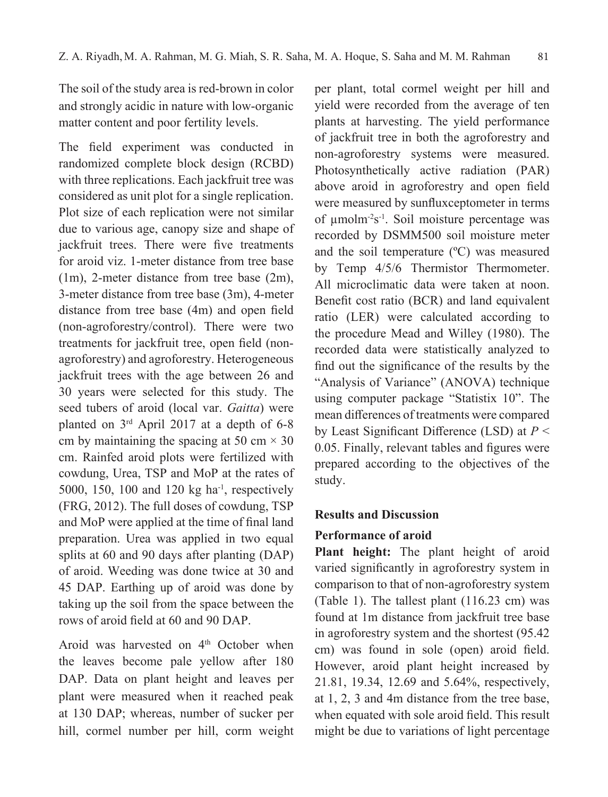The soil of the study area is red-brown in color and strongly acidic in nature with low-organic matter content and poor fertility levels.

The field experiment was conducted in randomized complete block design (RCBD) with three replications. Each jackfruit tree was considered as unit plot for a single replication. Plot size of each replication were not similar due to various age, canopy size and shape of jackfruit trees. There were five treatments for aroid viz. 1-meter distance from tree base (1m), 2-meter distance from tree base (2m), 3-meter distance from tree base (3m), 4-meter distance from tree base (4m) and open field (non-agroforestry/control). There were two treatments for jackfruit tree, open field (nonagroforestry) and agroforestry. Heterogeneous jackfruit trees with the age between 26 and 30 years were selected for this study. The seed tubers of aroid (local var. *Gaitta*) were planted on 3rd April 2017 at a depth of 6-8 cm by maintaining the spacing at 50 cm  $\times$  30 cm. Rainfed aroid plots were fertilized with cowdung, Urea, TSP and MoP at the rates of 5000, 150, 100 and 120 kg ha-1, respectively (FRG, 2012). The full doses of cowdung, TSP and MoP were applied at the time of final land preparation. Urea was applied in two equal splits at 60 and 90 days after planting (DAP) of aroid. Weeding was done twice at 30 and 45 DAP. Earthing up of aroid was done by taking up the soil from the space between the rows of aroid field at 60 and 90 DAP.

Aroid was harvested on 4<sup>th</sup> October when the leaves become pale yellow after 180 DAP. Data on plant height and leaves per plant were measured when it reached peak at 130 DAP; whereas, number of sucker per hill, cormel number per hill, corm weight

per plant, total cormel weight per hill and yield were recorded from the average of ten plants at harvesting. The yield performance of jackfruit tree in both the agroforestry and non-agroforestry systems were measured. Photosynthetically active radiation (PAR) above aroid in agroforestry and open field were measured by sunfluxceptometer in terms of µmolm-2s-1. Soil moisture percentage was recorded by DSMM500 soil moisture meter and the soil temperature (ºC) was measured by Temp 4/5/6 Thermistor Thermometer. All microclimatic data were taken at noon. Benefit cost ratio (BCR) and land equivalent ratio (LER) were calculated according to the procedure Mead and Willey (1980). The recorded data were statistically analyzed to find out the significance of the results by the "Analysis of Variance" (ANOVA) technique using computer package "Statistix 10". The mean differences of treatments were compared by Least Significant Difference (LSD) at *P* < 0.05. Finally, relevant tables and figures were prepared according to the objectives of the study.

### **Results and Discussion**

#### **Performance of aroid**

Plant height: The plant height of aroid varied significantly in agroforestry system in comparison to that of non-agroforestry system (Table 1). The tallest plant (116.23 cm) was found at 1m distance from jackfruit tree base in agroforestry system and the shortest (95.42 cm) was found in sole (open) aroid field. However, aroid plant height increased by 21.81, 19.34, 12.69 and 5.64%, respectively, at 1, 2, 3 and 4m distance from the tree base, when equated with sole aroid field. This result might be due to variations of light percentage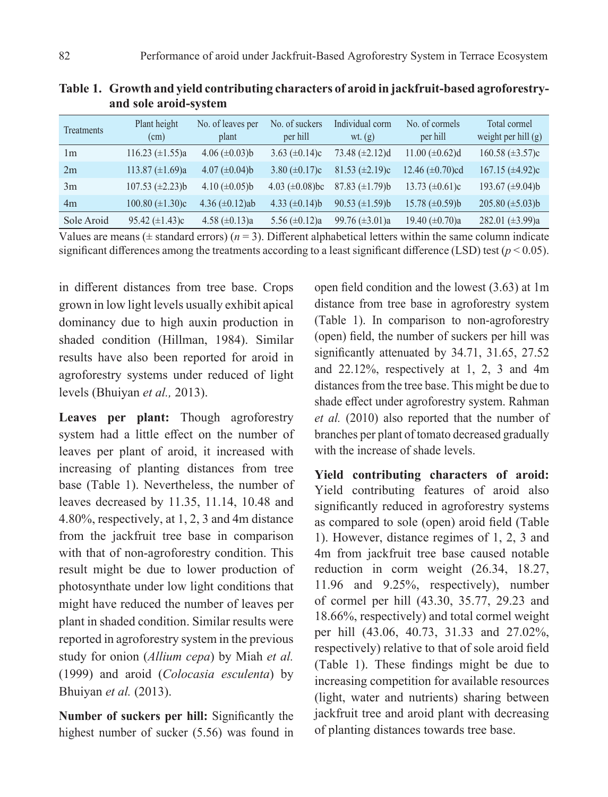| <b>Treatments</b> | Plant height<br>(cm)    | No. of leaves per<br>plant | No. of suckers<br>per hill | Individual corm<br>wt. $(g)$ | No. of cormels<br>per hill | Total cormel<br>weight per hill $(g)$ |
|-------------------|-------------------------|----------------------------|----------------------------|------------------------------|----------------------------|---------------------------------------|
| 1 <sub>m</sub>    | 116.23 $(\pm 1.55)a$    | 4.06 $(\pm 0.03)$ b        | 3.63 $(\pm 0.14)c$         | 73.48 $(\pm 2.12)d$          | 11.00 $(\pm 0.62)$ d       | $160.58 \ (\pm 3.57)c$                |
| 2m                | 113.87 $(\pm 1.69)$ a   | 4.07 $(\pm 0.04)$ b        | 3.80 $(\pm 0.17)c$         | $81.53 \ (\pm 2.19)c$        | 12.46 $(\pm 0.70)$ cd      | $167.15 \ (\pm 4.92)c$                |
| 3m                | $107.53 \ (\pm 2.23) b$ | 4.10 $(\pm 0.05)b$         | 4.03 $(\pm 0.08)$ bc       | $87.83 \ (\pm 1.79) b$       | 13.73 $(\pm 0.61)c$        | 193.67 $(\pm 9.04)$ b                 |
| 4 <sub>m</sub>    | $100.80 \ (\pm 1.30)c$  | 4.36 $(\pm 0.12)$ ab       | 4.33 $(\pm 0.14)$ b        | 90.53 $(\pm 1.59)$ b         | 15.78 $(\pm 0.59)$ b       | 205.80 $(\pm 5.03)$ b                 |
| Sole Aroid        | 95.42 $(\pm 1.43)c$     | 4.58 $(\pm 0.13)a$         | 5.56 $(\pm 0.12)a$         | 99.76 $(\pm 3.01)a$          | 19.40 $(\pm 0.70)a$        | 282.01 $(\pm 3.99)a$                  |

**Table 1. Growth and yield contributing characters of aroid in jackfruit-based agroforestryand sole aroid-system**

Values are means  $(\pm$  standard errors)  $(n=3)$ . Different alphabetical letters within the same column indicate significant differences among the treatments according to a least significant difference (LSD) test ( $p < 0.05$ ).

in different distances from tree base. Crops grown in low light levels usually exhibit apical dominancy due to high auxin production in shaded condition (Hillman, 1984). Similar results have also been reported for aroid in agroforestry systems under reduced of light levels (Bhuiyan *et al.,* 2013).

**Leaves per plant:** Though agroforestry system had a little effect on the number of leaves per plant of aroid, it increased with increasing of planting distances from tree base (Table 1). Nevertheless, the number of leaves decreased by 11.35, 11.14, 10.48 and 4.80%, respectively, at 1, 2, 3 and 4m distance from the jackfruit tree base in comparison with that of non-agroforestry condition. This result might be due to lower production of photosynthate under low light conditions that might have reduced the number of leaves per plant in shaded condition. Similar results were reported in agroforestry system in the previous study for onion (*Allium cepa*) by Miah *et al.* (1999) and aroid (*Colocasia esculenta*) by Bhuiyan *et al.* (2013).

**Number of suckers per hill:** Significantly the highest number of sucker (5.56) was found in

open field condition and the lowest (3.63) at 1m distance from tree base in agroforestry system (Table 1). In comparison to non-agroforestry (open) field, the number of suckers per hill was significantly attenuated by 34.71, 31.65, 27.52 and 22.12%, respectively at 1, 2, 3 and 4m distances from the tree base. This might be due to shade effect under agroforestry system. Rahman *et al.* (2010) also reported that the number of branches per plant of tomato decreased gradually with the increase of shade levels.

**Yield contributing characters of aroid:**  Yield contributing features of aroid also significantly reduced in agroforestry systems as compared to sole (open) aroid field (Table 1). However, distance regimes of 1, 2, 3 and 4m from jackfruit tree base caused notable reduction in corm weight (26.34, 18.27, 11.96 and 9.25%, respectively), number of cormel per hill (43.30, 35.77, 29.23 and 18.66%, respectively) and total cormel weight per hill (43.06, 40.73, 31.33 and 27.02%, respectively) relative to that of sole aroid field (Table 1). These findings might be due to increasing competition for available resources (light, water and nutrients) sharing between jackfruit tree and aroid plant with decreasing of planting distances towards tree base.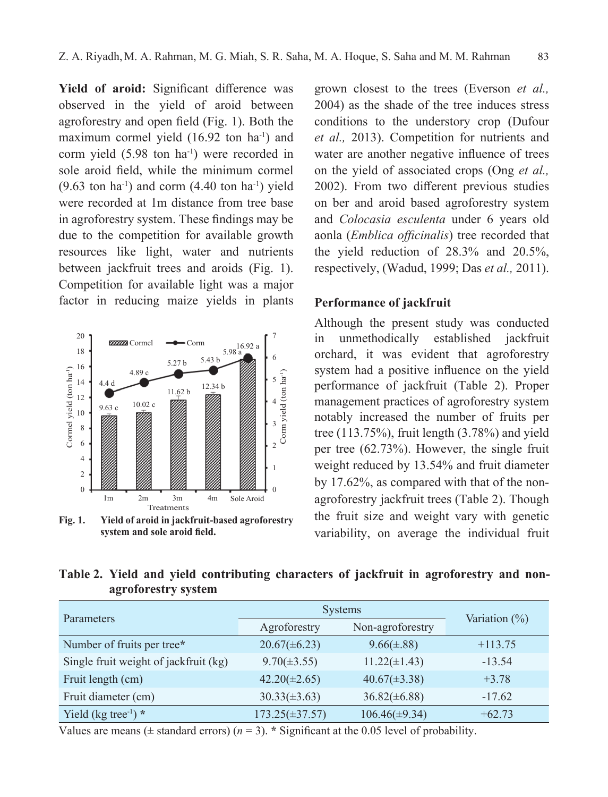**Yield of aroid:** Significant difference was observed in the yield of aroid between agroforestry and open field (Fig. 1). Both the maximum cormel yield (16.92 ton ha<sup>-1</sup>) and corm yield (5.98 ton ha<sup>-1</sup>) were recorded in sole aroid field, while the minimum cormel  $(9.63 \text{ ton ha}^{-1})$  and corm  $(4.40 \text{ ton ha}^{-1})$  yield were recorded at 1m distance from tree base in agroforestry system. These findings may be due to the competition for available growth resources like light, water and nutrients between jackfruit trees and aroids (Fig. 1). Competition for available light was a major factor in reducing maize yields in plants



**Fig. 1. Yield of aroid in jackfruit-based agroforestry system and sole aroid field.**

grown closest to the trees (Everson *et al.,* 2004) as the shade of the tree induces stress conditions to the understory crop (Dufour *et al.,* 2013). Competition for nutrients and water are another negative influence of trees on the yield of associated crops (Ong *et al.,* 2002). From two different previous studies on ber and aroid based agroforestry system and *Colocasia esculenta* under 6 years old aonla (*Emblica officinalis*) tree recorded that the yield reduction of 28.3% and 20.5%, respectively, (Wadud, 1999; Das *et al.,* 2011).

#### **Performance of jackfruit**

Although the present study was conducted in unmethodically established jackfruit orchard, it was evident that agroforestry system had a positive influence on the yield performance of jackfruit (Table 2). Proper management practices of agroforestry system notably increased the number of fruits per tree (113.75%), fruit length (3.78%) and yield per tree (62.73%). However, the single fruit weight reduced by 13.54% and fruit diameter by 17.62%, as compared with that of the nonagroforestry jackfruit trees (Table 2). Though the fruit size and weight vary with genetic variability, on average the individual fruit

|                     |  |  |  | Table 2. Yield and yield contributing characters of jackfruit in agroforestry and non- |  |
|---------------------|--|--|--|----------------------------------------------------------------------------------------|--|
| agroforestry system |  |  |  |                                                                                        |  |

| <b>Parameters</b>                     | <b>Systems</b>                   | Variation $(\%)$   |           |
|---------------------------------------|----------------------------------|--------------------|-----------|
|                                       | Non-agroforestry<br>Agroforestry |                    |           |
| Number of fruits per tree*            | $20.67(\pm 6.23)$                | $9.66(\pm.88)$     | $+113.75$ |
| Single fruit weight of jackfruit (kg) | $9.70(\pm 3.55)$                 | $11.22(\pm 1.43)$  | $-13.54$  |
| Fruit length (cm)                     | $42.20(\pm 2.65)$                | $40.67(\pm 3.38)$  | $+3.78$   |
| Fruit diameter (cm)                   | $30.33(\pm 3.63)$                | $36.82(\pm 6.88)$  | $-17.62$  |
| Yield ( $kg$ tree <sup>-1</sup> ) $*$ | $173.25(\pm 37.57)$              | $106.46(\pm 9.34)$ | $+62.73$  |

Values are means ( $\pm$  standard errors) ( $n = 3$ ).  $\ast$  Significant at the 0.05 level of probability.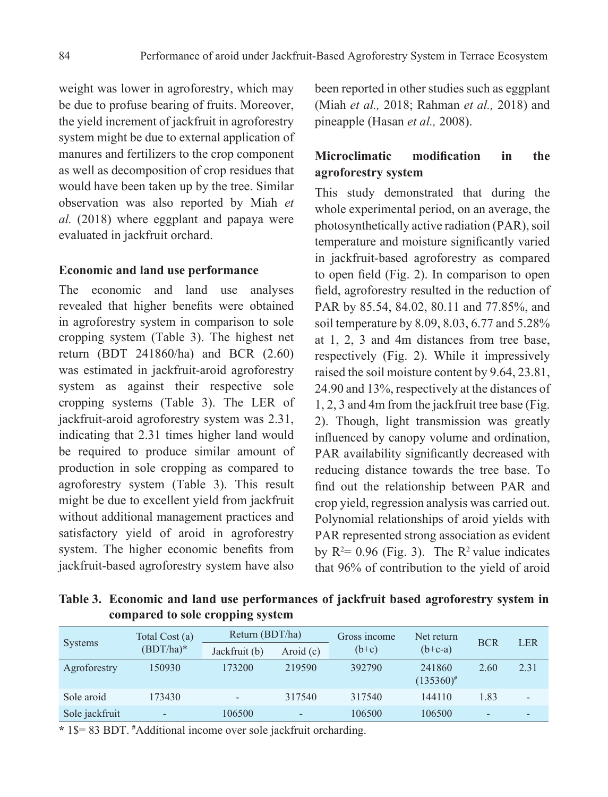weight was lower in agroforestry, which may be due to profuse bearing of fruits. Moreover, the yield increment of jackfruit in agroforestry system might be due to external application of manures and fertilizers to the crop component as well as decomposition of crop residues that would have been taken up by the tree. Similar observation was also reported by Miah *et al.* (2018) where eggplant and papaya were evaluated in jackfruit orchard.

#### **Economic and land use performance**

The economic and land use analyses revealed that higher benefits were obtained in agroforestry system in comparison to sole cropping system (Table 3). The highest net return (BDT 241860/ha) and BCR (2.60) was estimated in jackfruit-aroid agroforestry system as against their respective sole cropping systems (Table 3). The LER of jackfruit-aroid agroforestry system was 2.31, indicating that 2.31 times higher land would be required to produce similar amount of production in sole cropping as compared to agroforestry system (Table 3). This result might be due to excellent yield from jackfruit without additional management practices and satisfactory yield of aroid in agroforestry system. The higher economic benefits from jackfruit-based agroforestry system have also

been reported in other studies such as eggplant (Miah *et al.,* 2018; Rahman *et al.,* 2018) and pineapple (Hasan *et al.,* 2008).

# **Microclimatic modification in the agroforestry system**

This study demonstrated that during the whole experimental period, on an average, the photosynthetically active radiation (PAR), soil temperature and moisture significantly varied in jackfruit-based agroforestry as compared to open field (Fig. 2). In comparison to open field, agroforestry resulted in the reduction of PAR by 85.54, 84.02, 80.11 and 77.85%, and soil temperature by 8.09, 8.03, 6.77 and 5.28% at 1, 2, 3 and 4m distances from tree base, respectively (Fig. 2). While it impressively raised the soil moisture content by 9.64, 23.81, 24.90 and 13%, respectively at the distances of 1, 2, 3 and 4m from the jackfruit tree base (Fig. 2). Though, light transmission was greatly influenced by canopy volume and ordination, PAR availability significantly decreased with reducing distance towards the tree base. To find out the relationship between PAR and crop yield, regression analysis was carried out. Polynomial relationships of aroid yields with PAR represented strong association as evident by  $R^2$ = 0.96 (Fig. 3). The  $R^2$  value indicates that 96% of contribution to the yield of aroid

**Table 3. Economic and land use performances of jackfruit based agroforestry system in compared to sole cropping system**

| <b>Systems</b> | Total Cost (a)<br>$(BDT/ha)^*$ | Return (BDT/ha)          |             | Gross income | Net return               | <b>BCR</b>               | <b>LER</b>               |
|----------------|--------------------------------|--------------------------|-------------|--------------|--------------------------|--------------------------|--------------------------|
|                |                                | Jackfruit (b)            | Aroid $(c)$ | $(b+c)$      | $(b+c-a)$                |                          |                          |
| Agroforestry   | 150930                         | 173200                   | 219590      | 392790       | 241860<br>$(135360)^{*}$ | 2.60                     | 2.31                     |
| Sole aroid     | 173430                         | $\overline{\phantom{0}}$ | 317540      | 317540       | 144110                   | 1.83                     | $\overline{\phantom{a}}$ |
| Sole jackfruit | $\overline{\phantom{0}}$       | 106500                   | -           | 106500       | 106500                   | $\overline{\phantom{a}}$ |                          |

**\*** 1\$= 83 BDT. **#** Additional income over sole jackfruit orcharding.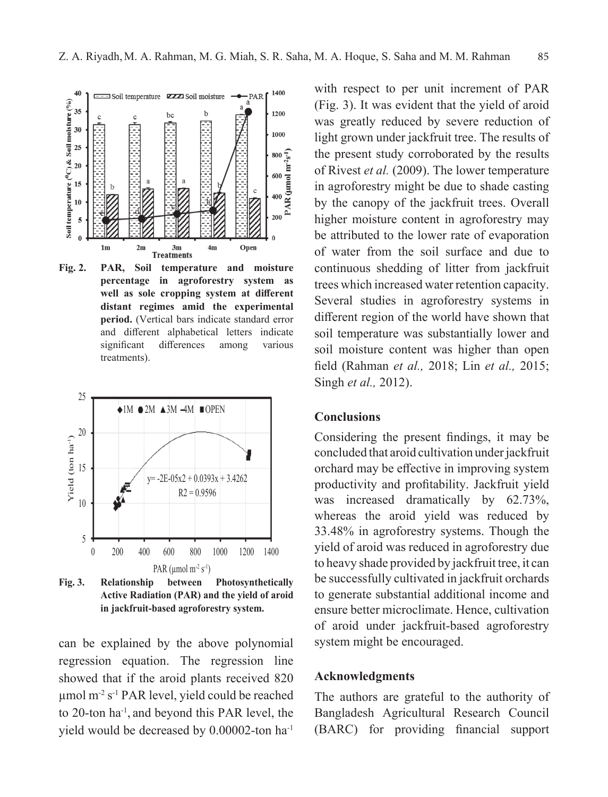

**Fig. 2. PAR, Soil temperature and moisture percentage in agroforestry system as well as sole cropping system at different distant regimes amid the experimental period.** (Vertical bars indicate standard error and different alphabetical letters indicate significant differences among various treatments).



**Fig. 3. Relationship between Photosynthetically Active Radiation (PAR) and the yield of aroid in jackfruit-based agroforestry system.**

can be explained by the above polynomial regression equation. The regression line showed that if the aroid plants received 820 µmol m-2 s-1 PAR level, yield could be reached to 20-ton ha-1, and beyond this PAR level, the yield would be decreased by 0.00002-ton ha-1

with respect to per unit increment of PAR (Fig. 3). It was evident that the yield of aroid was greatly reduced by severe reduction of light grown under jackfruit tree. The results of the present study corroborated by the results of Rivest *et al.* (2009). The lower temperature in agroforestry might be due to shade casting by the canopy of the jackfruit trees. Overall higher moisture content in agroforestry may be attributed to the lower rate of evaporation of water from the soil surface and due to continuous shedding of litter from jackfruit trees which increased water retention capacity. Several studies in agroforestry systems in different region of the world have shown that soil temperature was substantially lower and soil moisture content was higher than open field (Rahman *et al.,* 2018; Lin *et al.,* 2015; Singh *et al.,* 2012).

## **Conclusions**

Considering the present findings, it may be concluded that aroid cultivation under jackfruit orchard may be effective in improving system productivity and profitability. Jackfruit yield was increased dramatically by 62.73%, whereas the aroid yield was reduced by 33.48% in agroforestry systems. Though the yield of aroid was reduced in agroforestry due to heavy shade provided by jackfruit tree, it can be successfully cultivated in jackfruit orchards to generate substantial additional income and ensure better microclimate. Hence, cultivation of aroid under jackfruit-based agroforestry system might be encouraged.

# **Acknowledgments**

The authors are grateful to the authority of Bangladesh Agricultural Research Council (BARC) for providing financial support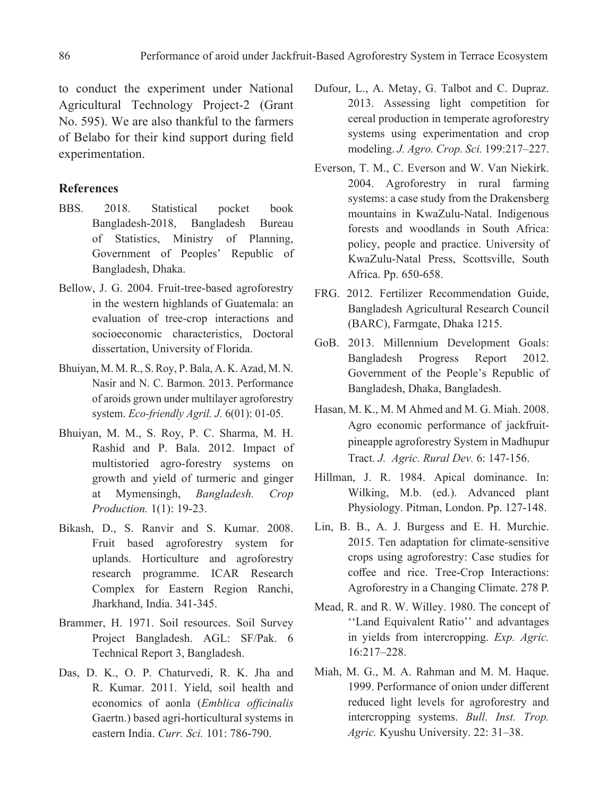to conduct the experiment under National Agricultural Technology Project-2 (Grant No. 595). We are also thankful to the farmers of Belabo for their kind support during field experimentation.

## **References**

- BBS. 2018. Statistical pocket book Bangladesh-2018, Bangladesh Bureau of Statistics, Ministry of Planning, Government of Peoples' Republic of Bangladesh, Dhaka.
- Bellow, J. G. 2004. Fruit-tree-based agroforestry in the western highlands of Guatemala: an evaluation of tree-crop interactions and socioeconomic characteristics, Doctoral dissertation, University of Florida.
- Bhuiyan, M. M. R., S. Roy, P. Bala, A. K. Azad, M. N. Nasir and N. C. Barmon. 2013. Performance of aroids grown under multilayer agroforestry system. *Eco-friendly Agril. J.* 6(01): 01-05.
- Bhuiyan, M. M., S. Roy, P. C. Sharma, M. H. Rashid and P. Bala. 2012. Impact of multistoried agro-forestry systems on growth and yield of turmeric and ginger at Mymensingh, *Bangladesh. Crop Production.* 1(1): 19-23.
- Bikash, D., S. Ranvir and S. Kumar. 2008. Fruit based agroforestry system for uplands. Horticulture and agroforestry research programme. ICAR Research Complex for Eastern Region Ranchi, Jharkhand, India. 341-345.
- Brammer, H. 1971. Soil resources. Soil Survey Project Bangladesh. AGL: SF/Pak. 6 Technical Report 3, Bangladesh.
- Das, D. K., O. P. Chaturvedi, R. K. Jha and R. Kumar. 2011. Yield, soil health and economics of aonla (*Emblica officinalis* Gaertn.) based agri-horticultural systems in eastern India. *Curr. Sci.* 101: 786-790.
- Dufour, L., A. Metay, G. Talbot and C. Dupraz. 2013. Assessing light competition for cereal production in temperate agroforestry systems using experimentation and crop modeling. *J. Agro. Crop. Sci.* 199:217–227.
- Everson, T. M., C. Everson and W. Van Niekirk. 2004. Agroforestry in rural farming systems: a case study from the Drakensberg mountains in KwaZulu-Natal. Indigenous forests and woodlands in South Africa: policy, people and practice. University of KwaZulu-Natal Press, Scottsville, South Africa. Pp. 650-658.
- FRG. 2012. Fertilizer Recommendation Guide, Bangladesh Agricultural Research Council (BARC), Farmgate, Dhaka 1215.
- GoB. 2013. Millennium Development Goals: Bangladesh Progress Report 2012. Government of the People's Republic of Bangladesh, Dhaka, Bangladesh.
- Hasan, M. K., M. M Ahmed and M. G. Miah. 2008. Agro economic performance of jackfruitpineapple agroforestry System in Madhupur Tract. *J. Agric. Rural Dev.* 6: 147-156.
- Hillman, J. R. 1984. Apical dominance. In: Wilking, M.b. (ed.). Advanced plant Physiology. Pitman, London. Pp. 127-148.
- Lin, B. B., A. J. Burgess and E. H. Murchie. 2015. Ten adaptation for climate-sensitive crops using agroforestry: Case studies for coffee and rice. Tree-Crop Interactions: Agroforestry in a Changing Climate. 278 P.
- Mead, R. and R. W. Willey. 1980. The concept of ''Land Equivalent Ratio'' and advantages in yields from intercropping. *Exp. Agric.* 16:217–228.
- Miah, M. G., M. A. Rahman and M. M. Haque. 1999. Performance of onion under different reduced light levels for agroforestry and intercropping systems. *Bull. Inst. Trop. Agric.* Kyushu University. 22: 31–38.